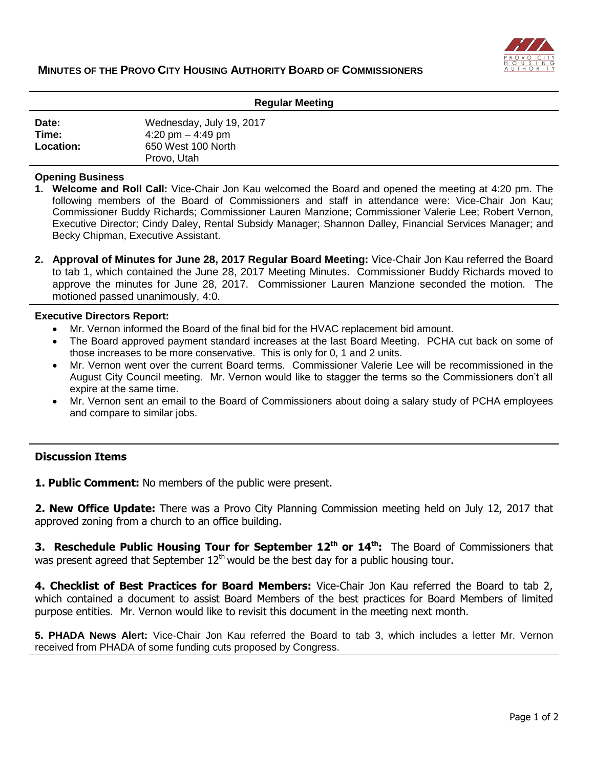

| <b>Regular Meeting</b>      |                                                                                      |
|-----------------------------|--------------------------------------------------------------------------------------|
| Date:<br>Time:<br>Location: | Wednesday, July 19, 2017<br>4:20 pm $-$ 4:49 pm<br>650 West 100 North<br>Provo, Utah |

#### **Opening Business**

- **1. Welcome and Roll Call:** Vice-Chair Jon Kau welcomed the Board and opened the meeting at 4:20 pm. The following members of the Board of Commissioners and staff in attendance were: Vice-Chair Jon Kau; Commissioner Buddy Richards; Commissioner Lauren Manzione; Commissioner Valerie Lee; Robert Vernon, Executive Director; Cindy Daley, Rental Subsidy Manager; Shannon Dalley, Financial Services Manager; and Becky Chipman, Executive Assistant.
- **2. Approval of Minutes for June 28, 2017 Regular Board Meeting:** Vice-Chair Jon Kau referred the Board to tab 1, which contained the June 28, 2017 Meeting Minutes. Commissioner Buddy Richards moved to approve the minutes for June 28, 2017. Commissioner Lauren Manzione seconded the motion. The motioned passed unanimously, 4:0.

#### **Executive Directors Report:**

- Mr. Vernon informed the Board of the final bid for the HVAC replacement bid amount.
- The Board approved payment standard increases at the last Board Meeting. PCHA cut back on some of those increases to be more conservative. This is only for 0, 1 and 2 units.
- Mr. Vernon went over the current Board terms. Commissioner Valerie Lee will be recommissioned in the August City Council meeting. Mr. Vernon would like to stagger the terms so the Commissioners don't all expire at the same time.
- Mr. Vernon sent an email to the Board of Commissioners about doing a salary study of PCHA employees and compare to similar jobs.

### **Discussion Items**

**1. Public Comment:** No members of the public were present.

**2. New Office Update:** There was a Provo City Planning Commission meeting held on July 12, 2017 that approved zoning from a church to an office building.

**3. Reschedule Public Housing Tour for September 12th or 14th:** The Board of Commissioners that was present agreed that September  $12<sup>th</sup>$  would be the best day for a public housing tour.

**4. Checklist of Best Practices for Board Members:** Vice-Chair Jon Kau referred the Board to tab 2, which contained a document to assist Board Members of the best practices for Board Members of limited purpose entities. Mr. Vernon would like to revisit this document in the meeting next month.

**5. PHADA News Alert:** Vice-Chair Jon Kau referred the Board to tab 3, which includes a letter Mr. Vernon received from PHADA of some funding cuts proposed by Congress.